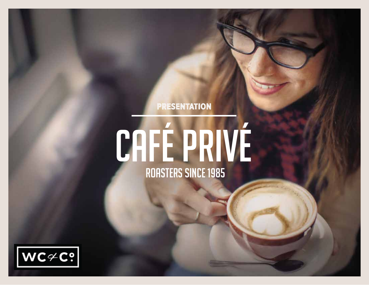### **PRESENTATION**

# CAFÉ PRIVÉ

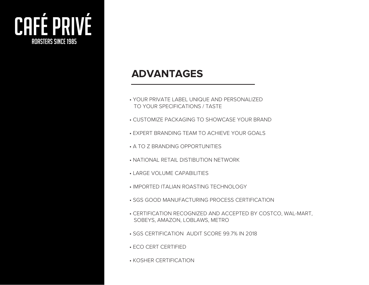

# **ADVANTAGES**

- YOUR PRIVATE LABEL UNIQUE AND PERSONALIZED TO YOUR SPECIFICATIONS / TASTE
- CUSTOMIZE PACKAGING TO SHOWCASE YOUR BRAND
- EXPERT BRANDING TEAM TO ACHIEVE YOUR GOALS
- A TO Z BRANDING OPPORTUNITIES
- NATIONAL RETAIL DISTIBUTION NETWORK
- LARGE VOLUME CAPABILITIES
- IMPORTED ITALIAN ROASTING TECHNOLOGY
- SGS GOOD MANUFACTURING PROCESS CERTIFICATION
- CERTIFICATION RECOGNIZED AND ACCEPTED BY COSTCO, WAL-MART, SOBEYS, AMAZON, LOBLAWS, METRO
- SGS CERTIFICATION AUDIT SCORE 99.7% IN 2018
- ECO CERT CERTIFIED
- KOSHER CERTIFICATION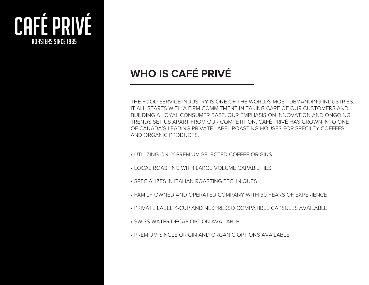

# **WHO IS CAFÉ PRIVÉ**

THE FOOD SERVICE INDUSTRY IS ONE OF THE WORLDS MOST DEMANDING INDUSTRIES. IT ALL STARTS WITH A FIRM COMMITMENT IN TAKING CARE OF OUR CUSTOMERS AND BUILDING A LOYAL CONSUMER BASE. OUR EMPHASIS ON INNOVATION AND ONGOING TRENDS SET US APART FROM OUR COMPETITION. CAFÉ PRIVÉ HAS GROWN INTO ONE OF CANADA'S LEADING PRIVATE LABEL ROASTING HOUSES FOR SPECILTY COFFEES, AND ORGANIC PRODUCTS.

- UTILIZING ONLY PREMIUM SELECTED COFFEE ORIGINS
- LOCAL ROASTING WITH LARGE VOLUME CAPABILITIES
- SPECIALIZES IN ITALIAN ROASTING TECHNIQUES
- FAMILY OWNED AND OPERATED COMPANY WITH 30 YEARS OF EXPERIENCE
- PRIVATE LABEL K-CUP AND NESPRESSO COMPATIBLE CAPSULES AVAILABLE
- SWISS WATER DECAF OPTION AVAILABLE
- PREMIUM SINGLE ORIGIN AND ORGANIC OPTIONS AVAILABLE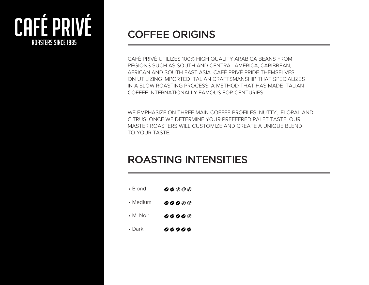

# COFFEE ORIGINS

CAFÉ PRIVÉ UTILIZES 100% HIGH QUALITY ARABICA BEANS FROM REGIONS SUCH AS SOUTH AND CENTRAL AMERICA, CARIBBEAN, AFRICAN AND SOUTH EAST ASIA. CAFÉ PRIVÉ PRIDE THEMSELVES ON UTILIZING IMPORTED ITALIAN CRAFTSMANSHIP THAT SPECIALIZES IN A SLOW ROASTING PROCESS. A METHOD THAT HAS MADE ITALIAN COFFEE INTERNATIONALLY FAMOUS FOR CENTURIES.

WE EMPHASIZE ON THREE MAIN COFFEE PROFILES. NUTTY, FLORAL AND CITRUS. ONCE WE DETERMINE YOUR PREFFERED PALET TASTE, OUR MASTER ROASTERS WILL CUSTOMIZE AND CREATE A UNIQUE BLEND TO YOUR TASTE.

# ROASTING INTENSITIES

• Blond 00000 • Medium  $99900$ • Mi Noir  $9999$ • Dark 99999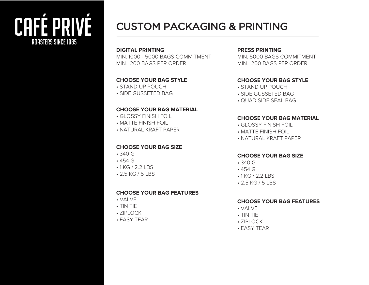# cafÉ privÉ rOASTERS SINCE 1985

# CUSTOM PACKAGING & PRINTING

#### **DIGITAL PRINTING**

MIN. 1000 - 5000 BAGS COMMITMENT MIN. 200 BAGS PER ORDER

#### **CHOOSE YOUR BAG STYLE**

- STAND UP POUCH
- SIDE GUSSETED BAG

#### **CHOOSE YOUR BAG MATERIAL**

- GLOSSY FINISH FOIL
- MATTE FINISH FOIL
- NATURAL KRAFT PAPER

#### **CHOOSE YOUR BAG SIZE**

- 340 G
- 454 G
- 1 KG / 2.2 LBS
- 2.5 KG / 5 LBS

#### **CHOOSE YOUR BAG FEATURES**

- VALVE
- TIN TIE
- ZIPLOCK
- EASY TEAR

#### **PRESS PRINTING**

MIN. 5000 BAGS COMMITMENT MIN. 200 BAGS PER ORDER

#### **CHOOSE YOUR BAG STYLE**

- STAND UP POUCH
- SIDE GUSSETED BAG
- QUAD SIDE SEAL BAG

#### **CHOOSE YOUR BAG MATERIAL**

- GLOSSY FINISH FOIL
- MATTE FINISH FOIL
- NATURAL KRAFT PAPER

#### **CHOOSE YOUR BAG SIZE**

- 340 G
- 454 G
- 1 KG / 2.2 LBS
- 2.5 KG / 5 LBS

#### **CHOOSE YOUR BAG FEATURES**

- VALVE
- TIN TIE
- $\cdot$  7IPI OCK
- EASY TEAR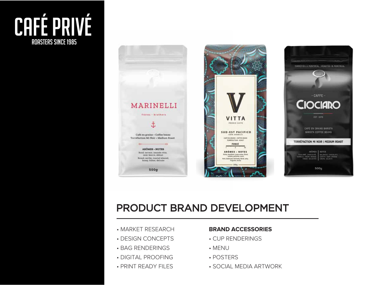# CAFÉ PRIVÉ **ROASTERS SINCE 1985**



# PRODUCT BRAND DEVELOPMENT

- MARKET RESEARCH
- DESIGN CONCEPTS
- BAG RENDERINGS
- DIGITAL PROOFING
- PRINT READY FILES

#### **BRAND ACCESSORIES**

- CUP RENDERINGS
- MENU
- POSTERS
- SOCIAL MEDIA ARTWORK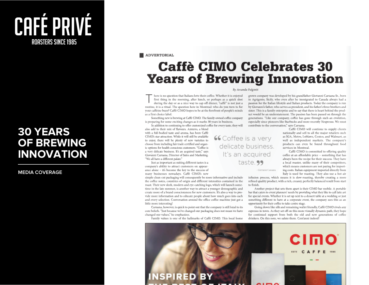

## **30 YEARS OF BREWING INNOVATION**

#### **MEDIA COVERAGE**

#### **ADVERTORIAL**

# **Caffè CIMO Celebrates 30 Years of Brewing Innovation**

#### By Amanda Fulginiti

here is no question that Italians love their coffee. Whether it is enjoyed first thing in the morning, after lunch, or perhaps as a quick shot during the day or as a nice way to cap off dinner, "caffè" is not just a routine, it is a ritual. The question here in Montreal: who do you turn to for your caffeine buzz? Caffè CIMO hopes to be at the forefront of people's minds as a first choice label.

Something new is brewing at Caffe CIMO. The family-owned coffee company is preparing for some exciting changes as it marks 30 years in business.

In addition to continuing to offer customized coffee for every taste, they will also add to their mix of flavours. Azzurro, a blend

with a full-bodied taste and aroma, has been Caffè CIMO's star attraction. While it will still be available to enjoy, there will be plenty of new varieties to choose from including fair trade certified and organic options for health conscious customers. "Coffee is a very delicate business. It's an acquired taste," says Giovanni Caruana, Director of Sales and Marketing. "We all have a different palate."

Just as important as suiting different tastes is a company's ability to attract customers on appearance alone - it's become the key to the success of many businesses nowadays. Caffè CIMO's new

simple clean-cut packaging will consequently be more informative and include the coffee notes, countries of origin and different intensities contained in the roast. Their new sleek, modern and eye-catching logo, which will launch sometime in the late summer, is another way to attract a younger demographic and create more of a brand consciousness for new customers. It's also a way to provide more information and to educate people about how much goes into each and every selection. Conversation around the office coffee machine just got a little more interesting!

Caruana, however, is quick to point out that the company is still loval to its core beliefs. "Just because we've changed our packaging does not mean we have changed our values," he emphasizes.

Family values is one of the hallmarks of Caffè CIMO. This local home

grown company was developed by his grandfather Giovanni Cartiana Sr., born in Agrigento, Sicily, who even after he immigrated to Canada always had a passion for the Italian lifestyle and Italian products. Today the company is run by Giovanni's father, who serves as president, and his father's three brothers and sister. This is a family enterprise and to say that there is heart behind the product would be an understatement. The passion has been passed on through the generations. "Like our company, coffee has gone through such an evolution, especially since pioneers like Starbucks and more recently Nespresso. We must contribute to the conversation," savs Caruana.

Caffè CIMO will continue to supply clients nationally and sell to all the major retailers such as IGA, Metro, Loblaws, Costco, and Walmart, as well as independent markets. The company's products can even be found throughout food

Caffè CIMO is committed to offering quality coffee at an affordable price - something that has always been the recipe for their success. They have a local roaster, unlike many of their competitors. which means customers are not paying for importing costs. Italian equipment imported directly from Italy is used for roasting. They also use a hot air

infusion process, which means it is slow-roasting, thereby creating a more refined quality product, with a rich, creamy, perfectly balanced result from start to finish.

Another project that sets them apart is their CIMO bar mobile. A portable bar that caters to event planners' needs by providing what they like to call latte art for special events. Whether it is set up next to a dessert table at a wedding or just something different to have at a corporate event, the company sees this as an opportunity for their coffee to take centre stage.

Going down like silk and remaining wallet friendly, Caffè CIMO rivals any espresso in town. As they set off on this more visually dynamic path, they hope for continued support from both the old and new generations of coffee drinkers. On this note, we salute them. Cent'anni indeed!



**66** Coffee is a very delicate business. services in Montreal. It's an acquired taste. 99

Giovanni Caruana